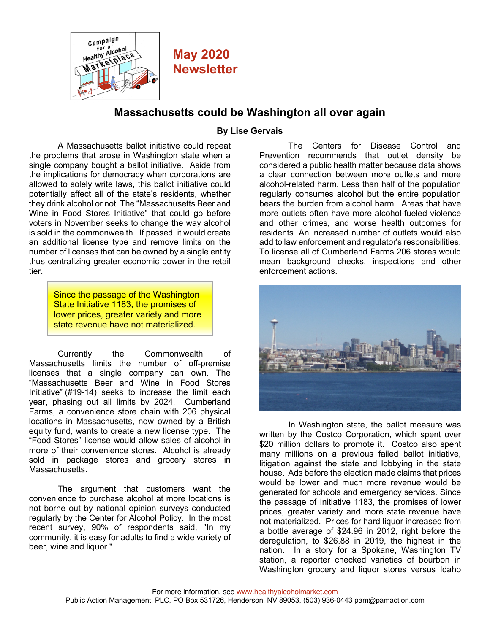

## **May 2020 Newsletter**

## **Massachusetts could be Washington all over again**

## **By Lise Gervais**

A Massachusetts ballot initiative could repeat the problems that arose in Washington state when a single company bought a ballot initiative. Aside from the implications for democracy when corporations are allowed to solely write laws, this ballot initiative could potentially affect all of the state's residents, whether they drink alcohol or not. The "Massachusetts Beer and Wine in Food Stores Initiative" that could go before voters in November seeks to change the way alcohol is sold in the commonwealth. If passed, it would create an additional license type and remove limits on the number of licenses that can be owned by a single entity thus centralizing greater economic power in the retail tier.

> Since the passage of the Washington State Initiative 1183, the promises of lower prices, greater variety and more state revenue have not materialized.

Currently the Commonwealth of Massachusetts limits the number of off-premise licenses that a single company can own. The "Massachusetts Beer and Wine in Food Stores Initiative" (#19-14) seeks to increase the limit each year, phasing out all limits by 2024. Cumberland Farms, a convenience store chain with 206 physical locations in Massachusetts, now owned by a British equity fund, wants to create a new license type. The "Food Stores" license would allow sales of alcohol in more of their convenience stores. Alcohol is already sold in package stores and grocery stores in Massachusetts.

The argument that customers want the convenience to purchase alcohol at more locations is not borne out by national opinion surveys conducted regularly by the Center for Alcohol Policy. In the most recent survey, 90% of respondents said, "In my community, it is easy for adults to find a wide variety of beer, wine and liquor."

The Centers for Disease Control and Prevention recommends that outlet density be considered a public health matter because data shows a clear connection between more outlets and more alcohol-related harm. Less than half of the population regularly consumes alcohol but the entire population bears the burden from alcohol harm. Areas that have more outlets often have more alcohol-fueled violence and other crimes, and worse health outcomes for residents. An increased number of outlets would also add to law enforcement and regulator's responsibilities. To license all of Cumberland Farms 206 stores would mean background checks, inspections and other enforcement actions.



In Washington state, the ballot measure was written by the Costco Corporation, which spent over \$20 million dollars to promote it. Costco also spent many millions on a previous failed ballot initiative, litigation against the state and lobbying in the state house. Ads before the election made claims that prices would be lower and much more revenue would be generated for schools and emergency services. Since the passage of Initiative 1183, the promises of lower prices, greater variety and more state revenue have not materialized. Prices for hard liquor increased from a bottle average of \$24.96 in 2012, right before the deregulation, to \$26.88 in 2019, the highest in the nation. In a story for a Spokane, Washington TV station, a reporter checked varieties of bourbon in Washington grocery and liquor stores versus Idaho